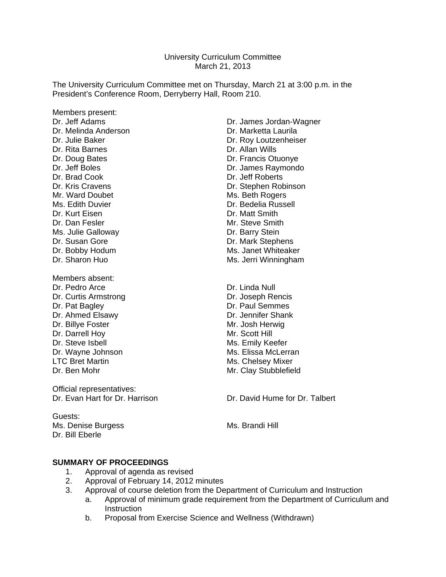University Curriculum Committee March 21, 2013

The University Curriculum Committee met on Thursday, March 21 at 3:00 p.m. in the President's Conference Room, Derryberry Hall, Room 210.

Members present: Dr. Melinda Anderson **Dr. Marketta Laurila** Dr. Rita Barnes **Dr. Allan Wills** Dr. Brad Cook Dr. Jeff Roberts Mr. Ward Doubet Mr. Ward Doubet Ms. Edith Duvier **Dr. Bedelia Russell** Dr. Kurt Eisen **Dr. Matt Smith** Dr. Dan Fesler Mr. Steve Smith Ms. Julie Galloway **Dr. Barry Stein** Dr. Susan Gore **Dr. Mark Stephens** 

Members absent: Dr. Pedro Arce Dr. Linda Null Dr. Curtis Armstrong **Dr. Joseph Rencis** Dr. Pat Bagley **Dr. Paul Semmes** Dr. Ahmed Elsawy Dr. Jennifer Shank Dr. Billye Foster Mr. Josh Herwig Dr. Darrell Hoy Mr. Scott Hill Dr. Steve Isbell **Ms.** Emily Keefer

Official representatives:

Guests: Dr. Bill Eberle

Dr. Jeff Adams Dr. James Jordan-Wagner Dr. Julie Baker **Dr. Roy Loutzenheiser** Dr. Doug Bates **Dr. Francis Otuonye** Dr. Jeff Boles **Dr. James Raymondo** Dr. Kris Cravens Dr. Stephen Robinson Dr. Bobby Hodum Ms. Janet Whiteaker Dr. Sharon Huo **Ms. Jerri Winningham** 

Dr. Wayne Johnson Ms. Elissa McLerran Ms. Elissa McLerran Ms. Elissa McLerran Ms. Chelsev Mixer Ms. Chelsey Mixer Dr. Ben Mohr Mathematic Music Clay Stubblefield

Dr. Evan Hart for Dr. Harrison **Dr. Dr. David Hume for Dr. Talbert** 

Ms. Denise Burgess Ms. Brandi Hill

## **SUMMARY OF PROCEEDINGS**

- 1. Approval of agenda as revised<br>2. Approval of February 14. 2012
- 2. Approval of February 14, 2012 minutes
- 3. Approval of course deletion from the Department of Curriculum and Instruction
	- a. Approval of minimum grade requirement from the Department of Curriculum and **Instruction**
	- b. Proposal from Exercise Science and Wellness (Withdrawn)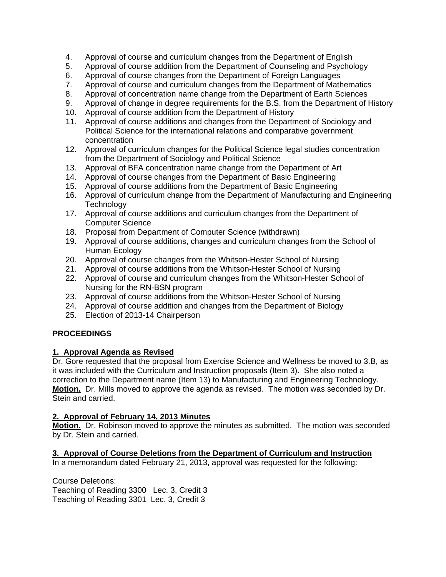- 4. Approval of course and curriculum changes from the Department of English
- 5. Approval of course addition from the Department of Counseling and Psychology
- 6. Approval of course changes from the Department of Foreign Languages
- 7. Approval of course and curriculum changes from the Department of Mathematics
- 8. Approval of concentration name change from the Department of Earth Sciences
- 9. Approval of change in degree requirements for the B.S. from the Department of History
- 10. Approval of course addition from the Department of History
- 11. Approval of course additions and changes from the Department of Sociology and Political Science for the international relations and comparative government concentration
- 12. Approval of curriculum changes for the Political Science legal studies concentration from the Department of Sociology and Political Science
- 13. Approval of BFA concentration name change from the Department of Art
- 14. Approval of course changes from the Department of Basic Engineering
- 15. Approval of course additions from the Department of Basic Engineering
- 16. Approval of curriculum change from the Department of Manufacturing and Engineering **Technology**
- 17. Approval of course additions and curriculum changes from the Department of Computer Science
- 18. Proposal from Department of Computer Science (withdrawn)
- 19. Approval of course additions, changes and curriculum changes from the School of Human Ecology
- 20. Approval of course changes from the Whitson-Hester School of Nursing
- 21. Approval of course additions from the Whitson-Hester School of Nursing
- 22. Approval of course and curriculum changes from the Whitson-Hester School of Nursing for the RN-BSN program
- 23. Approval of course additions from the Whitson-Hester School of Nursing
- 24. Approval of course addition and changes from the Department of Biology
- 25. Election of 2013-14 Chairperson

# **PROCEEDINGS**

## **1. Approval Agenda as Revised**

Dr. Gore requested that the proposal from Exercise Science and Wellness be moved to 3.B, as it was included with the Curriculum and Instruction proposals (Item 3). She also noted a correction to the Department name (Item 13) to Manufacturing and Engineering Technology. **Motion.** Dr. Mills moved to approve the agenda as revised. The motion was seconded by Dr. Stein and carried.

## **2. Approval of February 14, 2013 Minutes**

**Motion.** Dr. Robinson moved to approve the minutes as submitted. The motion was seconded by Dr. Stein and carried.

# **3. Approval of Course Deletions from the Department of Curriculum and Instruction**

In a memorandum dated February 21, 2013, approval was requested for the following:

Course Deletions:

Teaching of Reading 3300 Lec. 3, Credit 3 Teaching of Reading 3301 Lec. 3, Credit 3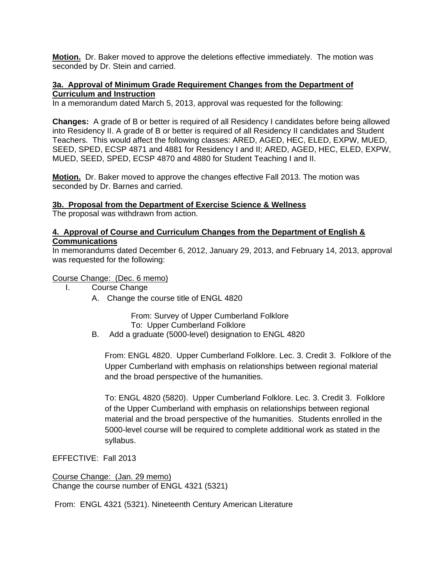**Motion.** Dr. Baker moved to approve the deletions effective immediately. The motion was seconded by Dr. Stein and carried.

### **3a. Approval of Minimum Grade Requirement Changes from the Department of Curriculum and Instruction**

In a memorandum dated March 5, 2013, approval was requested for the following:

**Changes:** A grade of B or better is required of all Residency I candidates before being allowed into Residency II. A grade of B or better is required of all Residency II candidates and Student Teachers. This would affect the following classes: ARED, AGED, HEC, ELED, EXPW, MUED, SEED, SPED, ECSP 4871 and 4881 for Residency I and II; ARED, AGED, HEC, ELED, EXPW, MUED, SEED, SPED, ECSP 4870 and 4880 for Student Teaching I and II.

**Motion.** Dr. Baker moved to approve the changes effective Fall 2013. The motion was seconded by Dr. Barnes and carried.

### **3b. Proposal from the Department of Exercise Science & Wellness**

The proposal was withdrawn from action.

## **4. Approval of Course and Curriculum Changes from the Department of English & Communications**

In memorandums dated December 6, 2012, January 29, 2013, and February 14, 2013, approval was requested for the following:

Course Change: (Dec. 6 memo)

- I. Course Change
	- A. Change the course title of ENGL 4820

From: Survey of Upper Cumberland Folklore To: Upper Cumberland Folklore

B. Add a graduate (5000-level) designation to ENGL 4820

From: ENGL 4820. Upper Cumberland Folklore. Lec. 3. Credit 3. Folklore of the Upper Cumberland with emphasis on relationships between regional material and the broad perspective of the humanities.

To: ENGL 4820 (5820). Upper Cumberland Folklore. Lec. 3. Credit 3. Folklore of the Upper Cumberland with emphasis on relationships between regional material and the broad perspective of the humanities. Students enrolled in the 5000-level course will be required to complete additional work as stated in the syllabus.

EFFECTIVE: Fall 2013

Course Change: (Jan. 29 memo) Change the course number of ENGL 4321 (5321)

From: ENGL 4321 (5321). Nineteenth Century American Literature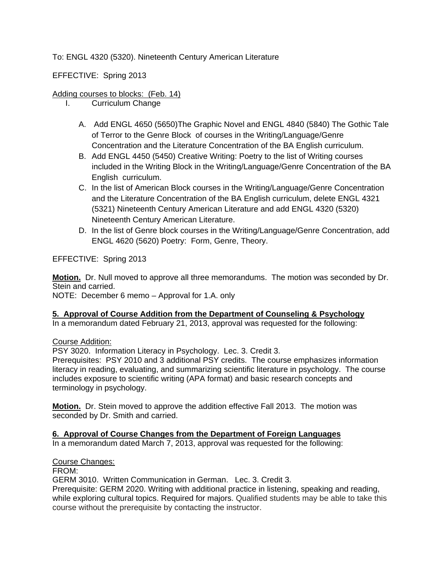To: ENGL 4320 (5320). Nineteenth Century American Literature

EFFECTIVE: Spring 2013

## Adding courses to blocks: (Feb. 14)

- I. Curriculum Change
	- A. Add ENGL 4650 (5650)The Graphic Novel and ENGL 4840 (5840) The Gothic Tale of Terror to the Genre Block of courses in the Writing/Language/Genre Concentration and the Literature Concentration of the BA English curriculum.
	- B. Add ENGL 4450 (5450) Creative Writing: Poetry to the list of Writing courses included in the Writing Block in the Writing/Language/Genre Concentration of the BA English curriculum.
	- C. In the list of American Block courses in the Writing/Language/Genre Concentration and the Literature Concentration of the BA English curriculum, delete ENGL 4321 (5321) Nineteenth Century American Literature and add ENGL 4320 (5320) Nineteenth Century American Literature.
	- D. In the list of Genre block courses in the Writing/Language/Genre Concentration, add ENGL 4620 (5620) Poetry: Form, Genre, Theory.

EFFECTIVE: Spring 2013

**Motion.** Dr. Null moved to approve all three memorandums. The motion was seconded by Dr. Stein and carried.

NOTE: December 6 memo – Approval for 1.A. only

## **5. Approval of Course Addition from the Department of Counseling & Psychology**

In a memorandum dated February 21, 2013, approval was requested for the following:

Course Addition:

PSY 3020. Information Literacy in Psychology. Lec. 3. Credit 3.

Prerequisites: PSY 2010 and 3 additional PSY credits. The course emphasizes information literacy in reading, evaluating, and summarizing scientific literature in psychology. The course includes exposure to scientific writing (APA format) and basic research concepts and terminology in psychology.

**Motion.** Dr. Stein moved to approve the addition effective Fall 2013. The motion was seconded by Dr. Smith and carried.

## **6. Approval of Course Changes from the Department of Foreign Languages**

In a memorandum dated March 7, 2013, approval was requested for the following:

Course Changes:

FROM:

GERM 3010. Written Communication in German. Lec. 3. Credit 3.

Prerequisite: GERM 2020. Writing with additional practice in listening, speaking and reading, while exploring cultural topics. Required for majors. Qualified students may be able to take this course without the prerequisite by contacting the instructor.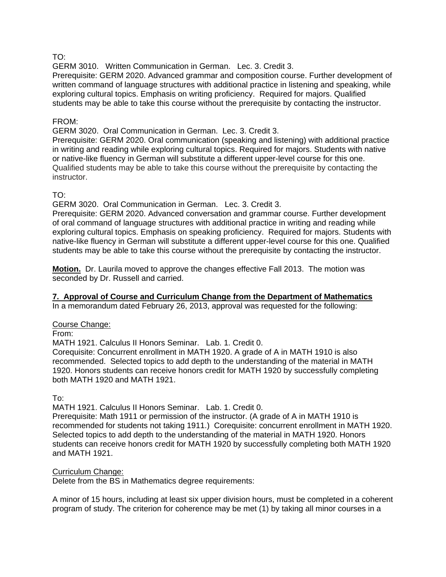## TO:

GERM 3010. Written Communication in German. Lec. 3. Credit 3.

Prerequisite: GERM 2020. Advanced grammar and composition course. Further development of written command of language structures with additional practice in listening and speaking, while exploring cultural topics. Emphasis on writing proficiency. Required for majors. Qualified students may be able to take this course without the prerequisite by contacting the instructor.

### FROM:

GERM 3020. Oral Communication in German. Lec. 3. Credit 3.

Prerequisite: GERM 2020. Oral communication (speaking and listening) with additional practice in writing and reading while exploring cultural topics. Required for majors. Students with native or native-like fluency in German will substitute a different upper-level course for this one. Qualified students may be able to take this course without the prerequisite by contacting the instructor.

## TO:

GERM 3020. Oral Communication in German. Lec. 3. Credit 3.

Prerequisite: GERM 2020. Advanced conversation and grammar course. Further development of oral command of language structures with additional practice in writing and reading while exploring cultural topics. Emphasis on speaking proficiency. Required for majors. Students with native-like fluency in German will substitute a different upper-level course for this one. Qualified students may be able to take this course without the prerequisite by contacting the instructor.

**Motion.** Dr. Laurila moved to approve the changes effective Fall 2013. The motion was seconded by Dr. Russell and carried.

## **7. Approval of Course and Curriculum Change from the Department of Mathematics**

In a memorandum dated February 26, 2013, approval was requested for the following:

## Course Change:

From:

MATH 1921. Calculus II Honors Seminar. Lab. 1. Credit 0.

Corequisite: Concurrent enrollment in MATH 1920. A grade of A in MATH 1910 is also recommended. Selected topics to add depth to the understanding of the material in MATH 1920. Honors students can receive honors credit for MATH 1920 by successfully completing both MATH 1920 and MATH 1921.

To:

MATH 1921. Calculus II Honors Seminar. Lab. 1. Credit 0.

Prerequisite: Math 1911 or permission of the instructor. (A grade of A in MATH 1910 is recommended for students not taking 1911.) Corequisite: concurrent enrollment in MATH 1920. Selected topics to add depth to the understanding of the material in MATH 1920. Honors students can receive honors credit for MATH 1920 by successfully completing both MATH 1920 and MATH 1921.

#### Curriculum Change:

Delete from the BS in Mathematics degree requirements:

A minor of 15 hours, including at least six upper division hours, must be completed in a coherent program of study. The criterion for coherence may be met (1) by taking all minor courses in a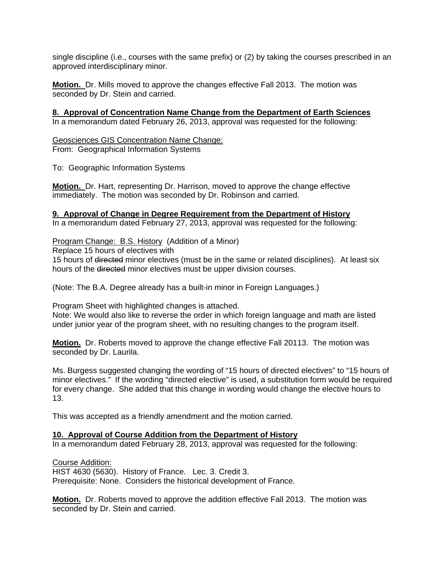single discipline (i.e., courses with the same prefix) or (2) by taking the courses prescribed in an approved interdisciplinary minor.

**Motion.** Dr. Mills moved to approve the changes effective Fall 2013. The motion was seconded by Dr. Stein and carried.

**8. Approval of Concentration Name Change from the Department of Earth Sciences** In a memorandum dated February 26, 2013, approval was requested for the following:

Geosciences GIS Concentration Name Change: From: Geographical Information Systems

To: Geographic Information Systems

**Motion.** Dr. Hart, representing Dr. Harrison, moved to approve the change effective immediately. The motion was seconded by Dr. Robinson and carried.

### **9. Approval of Change in Degree Requirement from the Department of History**

In a memorandum dated February 27, 2013, approval was requested for the following:

### Program Change: B.S. History (Addition of a Minor)

Replace 15 hours of electives with

15 hours of directed minor electives (must be in the same or related disciplines). At least six hours of the directed minor electives must be upper division courses.

(Note: The B.A. Degree already has a built-in minor in Foreign Languages.)

Program Sheet with highlighted changes is attached.

Note: We would also like to reverse the order in which foreign language and math are listed under junior year of the program sheet, with no resulting changes to the program itself.

**Motion.** Dr. Roberts moved to approve the change effective Fall 20113. The motion was seconded by Dr. Laurila.

Ms. Burgess suggested changing the wording of "15 hours of directed electives" to "15 hours of minor electives." If the wording "directed elective" is used, a substitution form would be required for every change. She added that this change in wording would change the elective hours to 13.

This was accepted as a friendly amendment and the motion carried.

## **10. Approval of Course Addition from the Department of History**

In a memorandum dated February 28, 2013, approval was requested for the following:

Course Addition:

HIST 4630 (5630). History of France. Lec. 3. Credit 3. Prerequisite: None. Considers the historical development of France.

**Motion.** Dr. Roberts moved to approve the addition effective Fall 2013. The motion was seconded by Dr. Stein and carried.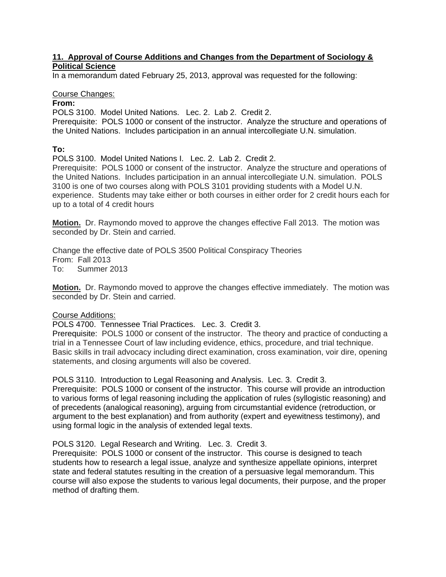## **11. Approval of Course Additions and Changes from the Department of Sociology & Political Science**

In a memorandum dated February 25, 2013, approval was requested for the following:

## Course Changes:

## **From:**

POLS 3100. Model United Nations. Lec. 2. Lab 2. Credit 2.

Prerequisite: POLS 1000 or consent of the instructor. Analyze the structure and operations of the United Nations. Includes participation in an annual intercollegiate U.N. simulation.

### **To:**

POLS 3100. Model United Nations I. Lec. 2. Lab 2. Credit 2.

Prerequisite: POLS 1000 or consent of the instructor. Analyze the structure and operations of the United Nations. Includes participation in an annual intercollegiate U.N. simulation. POLS 3100 is one of two courses along with POLS 3101 providing students with a Model U.N. experience. Students may take either or both courses in either order for 2 credit hours each for up to a total of 4 credit hours

**Motion.** Dr. Raymondo moved to approve the changes effective Fall 2013. The motion was seconded by Dr. Stein and carried.

Change the effective date of POLS 3500 Political Conspiracy Theories From: Fall 2013 To: Summer 2013

**Motion.** Dr. Raymondo moved to approve the changes effective immediately. The motion was seconded by Dr. Stein and carried.

#### Course Additions:

POLS 4700. Tennessee Trial Practices. Lec. 3. Credit 3.

Prerequisite: POLS 1000 or consent of the instructor. The theory and practice of conducting a trial in a Tennessee Court of law including evidence, ethics, procedure, and trial technique. Basic skills in trail advocacy including direct examination, cross examination, voir dire, opening statements, and closing arguments will also be covered.

POLS 3110. Introduction to Legal Reasoning and Analysis. Lec. 3. Credit 3.

Prerequisite: POLS 1000 or consent of the instructor. This course will provide an introduction to various forms of legal reasoning including the application of rules (syllogistic reasoning) and of precedents (analogical reasoning), arguing from circumstantial evidence (retroduction, or argument to the best explanation) and from authority (expert and eyewitness testimony), and using formal logic in the analysis of extended legal texts.

#### POLS 3120. Legal Research and Writing. Lec. 3. Credit 3.

Prerequisite: POLS 1000 or consent of the instructor. This course is designed to teach students how to research a legal issue, analyze and synthesize appellate opinions, interpret state and federal statutes resulting in the creation of a persuasive legal memorandum. This course will also expose the students to various legal documents, their purpose, and the proper method of drafting them.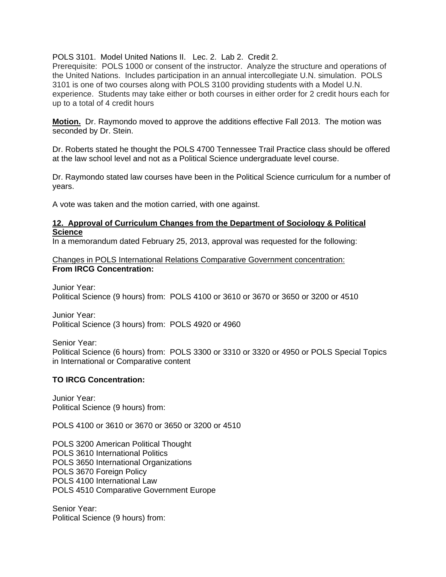POLS 3101. Model United Nations II. Lec. 2. Lab 2. Credit 2.

Prerequisite: POLS 1000 or consent of the instructor. Analyze the structure and operations of the United Nations. Includes participation in an annual intercollegiate U.N. simulation. POLS 3101 is one of two courses along with POLS 3100 providing students with a Model U.N. experience. Students may take either or both courses in either order for 2 credit hours each for up to a total of 4 credit hours

**Motion.** Dr. Raymondo moved to approve the additions effective Fall 2013. The motion was seconded by Dr. Stein.

Dr. Roberts stated he thought the POLS 4700 Tennessee Trail Practice class should be offered at the law school level and not as a Political Science undergraduate level course.

Dr. Raymondo stated law courses have been in the Political Science curriculum for a number of years.

A vote was taken and the motion carried, with one against.

#### **12. Approval of Curriculum Changes from the Department of Sociology & Political Science**

In a memorandum dated February 25, 2013, approval was requested for the following:

Changes in POLS International Relations Comparative Government concentration: **From IRCG Concentration:** 

Junior Year: Political Science (9 hours) from: POLS 4100 or 3610 or 3670 or 3650 or 3200 or 4510

Junior Year: Political Science (3 hours) from: POLS 4920 or 4960

Senior Year: Political Science (6 hours) from: POLS 3300 or 3310 or 3320 or 4950 or POLS Special Topics in International or Comparative content

## **TO IRCG Concentration:**

Junior Year: Political Science (9 hours) from:

POLS 4100 or 3610 or 3670 or 3650 or 3200 or 4510

POLS 3200 American Political Thought POLS 3610 International Politics POLS 3650 International Organizations POLS 3670 Foreign Policy POLS 4100 International Law POLS 4510 Comparative Government Europe

Senior Year: Political Science (9 hours) from: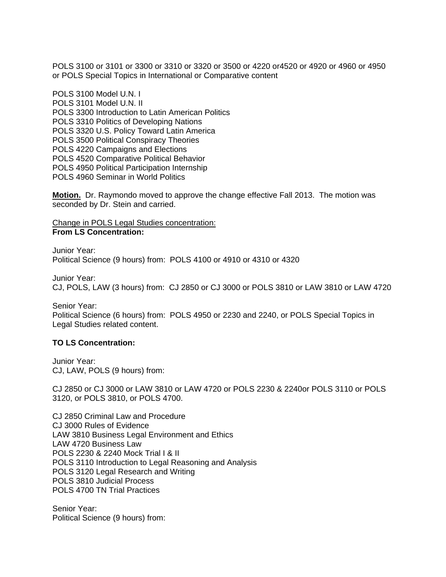POLS 3100 or 3101 or 3300 or 3310 or 3320 or 3500 or 4220 or4520 or 4920 or 4960 or 4950 or POLS Special Topics in International or Comparative content

POLS 3100 Model U.N. I POLS 3101 Model U.N. II POLS 3300 Introduction to Latin American Politics POLS 3310 Politics of Developing Nations POLS 3320 U.S. Policy Toward Latin America POLS 3500 Political Conspiracy Theories POLS 4220 Campaigns and Elections POLS 4520 Comparative Political Behavior POLS 4950 Political Participation Internship POLS 4960 Seminar in World Politics

**Motion.** Dr. Raymondo moved to approve the change effective Fall 2013. The motion was seconded by Dr. Stein and carried.

#### Change in POLS Legal Studies concentration: **From LS Concentration:**

Junior Year: Political Science (9 hours) from: POLS 4100 or 4910 or 4310 or 4320

Junior Year: CJ, POLS, LAW (3 hours) from: CJ 2850 or CJ 3000 or POLS 3810 or LAW 3810 or LAW 4720

Senior Year: Political Science (6 hours) from: POLS 4950 or 2230 and 2240, or POLS Special Topics in Legal Studies related content.

#### **TO LS Concentration:**

Junior Year: CJ, LAW, POLS (9 hours) from:

CJ 2850 or CJ 3000 or LAW 3810 or LAW 4720 or POLS 2230 & 2240or POLS 3110 or POLS 3120, or POLS 3810, or POLS 4700.

CJ 2850 Criminal Law and Procedure CJ 3000 Rules of Evidence LAW 3810 Business Legal Environment and Ethics LAW 4720 Business Law POLS 2230 & 2240 Mock Trial I & II POLS 3110 Introduction to Legal Reasoning and Analysis POLS 3120 Legal Research and Writing POLS 3810 Judicial Process POLS 4700 TN Trial Practices

Senior Year: Political Science (9 hours) from: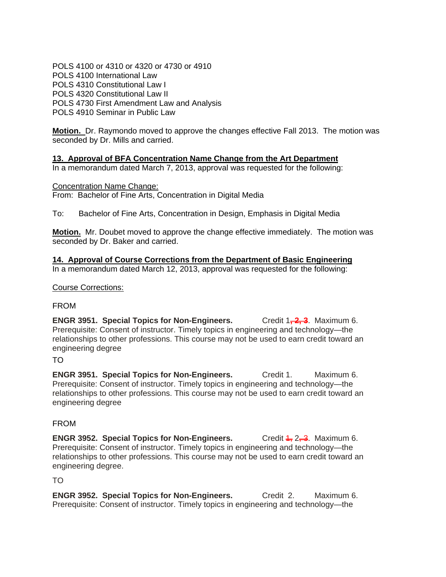POLS 4100 or 4310 or 4320 or 4730 or 4910 POLS 4100 International Law POLS 4310 Constitutional Law I POLS 4320 Constitutional Law II POLS 4730 First Amendment Law and Analysis POLS 4910 Seminar in Public Law

**Motion.** Dr. Raymondo moved to approve the changes effective Fall 2013. The motion was seconded by Dr. Mills and carried.

# **13. Approval of BFA Concentration Name Change from the Art Department**

In a memorandum dated March 7, 2013, approval was requested for the following:

Concentration Name Change: From: Bachelor of Fine Arts, Concentration in Digital Media

To: Bachelor of Fine Arts, Concentration in Design, Emphasis in Digital Media

**Motion.** Mr. Doubet moved to approve the change effective immediately. The motion was seconded by Dr. Baker and carried.

**14. Approval of Course Corrections from the Department of Basic Engineering** In a memorandum dated March 12, 2013, approval was requested for the following:

## Course Corrections:

# FROM

**ENGR 3951. Special Topics for Non-Engineers.** Credit 1<sup>2</sup>/<sub>1</sub>2. Maximum 6. Prerequisite: Consent of instructor. Timely topics in engineering and technology—the relationships to other professions. This course may not be used to earn credit toward an engineering degree

# TO

**ENGR 3951. Special Topics for Non-Engineers.** Credit 1. Maximum 6. Prerequisite: Consent of instructor. Timely topics in engineering and technology—the relationships to other professions. This course may not be used to earn credit toward an engineering degree

## FROM

**ENGR 3952. Special Topics for Non-Engineers.** Credit 4, 2, 3. Maximum 6. Prerequisite: Consent of instructor. Timely topics in engineering and technology—the relationships to other professions. This course may not be used to earn credit toward an engineering degree.

TO

**ENGR 3952. Special Topics for Non-Engineers.** Credit 2. Maximum 6. Prerequisite: Consent of instructor. Timely topics in engineering and technology—the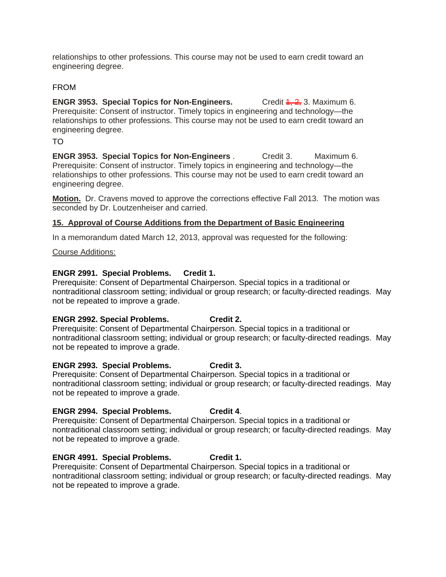relationships to other professions. This course may not be used to earn credit toward an engineering degree.

## FROM

**ENGR 3953. Special Topics for Non-Engineers.** Credit 4, 2, 3. Maximum 6. Prerequisite: Consent of instructor. Timely topics in engineering and technology—the relationships to other professions. This course may not be used to earn credit toward an engineering degree.

## TO

**ENGR 3953. Special Topics for Non-Engineers** . Credit 3. Maximum 6. Prerequisite: Consent of instructor. Timely topics in engineering and technology—the relationships to other professions. This course may not be used to earn credit toward an engineering degree.

**Motion.** Dr. Cravens moved to approve the corrections effective Fall 2013. The motion was seconded by Dr. Loutzenheiser and carried.

### **15. Approval of Course Additions from the Department of Basic Engineering**

In a memorandum dated March 12, 2013, approval was requested for the following:

#### Course Additions:

### **ENGR 2991. Special Problems. Credit 1.**

Prerequisite: Consent of Departmental Chairperson. Special topics in a traditional or nontraditional classroom setting; individual or group research; or faculty-directed readings. May not be repeated to improve a grade.

## **ENGR 2992. Special Problems. Credit 2.**

Prerequisite: Consent of Departmental Chairperson. Special topics in a traditional or nontraditional classroom setting; individual or group research; or faculty-directed readings. May not be repeated to improve a grade.

## **ENGR 2993. Special Problems. Credit 3.**

Prerequisite: Consent of Departmental Chairperson. Special topics in a traditional or nontraditional classroom setting; individual or group research; or faculty-directed readings. May not be repeated to improve a grade.

## **ENGR 2994. Special Problems. Credit 4**.

Prerequisite: Consent of Departmental Chairperson. Special topics in a traditional or nontraditional classroom setting; individual or group research; or faculty-directed readings. May not be repeated to improve a grade.

#### **ENGR 4991. Special Problems. Credit 1.**

Prerequisite: Consent of Departmental Chairperson. Special topics in a traditional or nontraditional classroom setting; individual or group research; or faculty-directed readings. May not be repeated to improve a grade.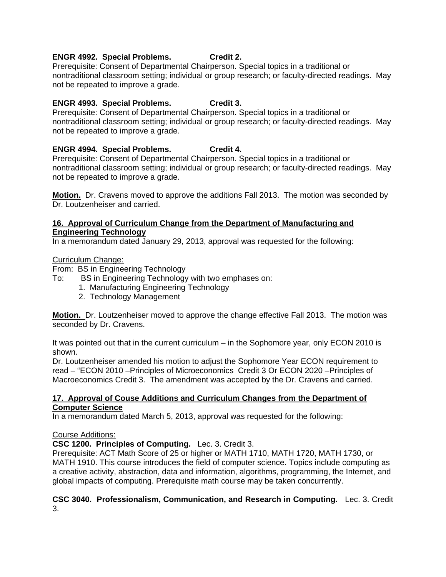## **ENGR 4992. Special Problems. Credit 2.**

Prerequisite: Consent of Departmental Chairperson. Special topics in a traditional or nontraditional classroom setting; individual or group research; or faculty-directed readings. May not be repeated to improve a grade.

## **ENGR 4993. Special Problems. Credit 3.**

Prerequisite: Consent of Departmental Chairperson. Special topics in a traditional or nontraditional classroom setting; individual or group research; or faculty-directed readings. May not be repeated to improve a grade.

## **ENGR 4994. Special Problems. Credit 4.**

Prerequisite: Consent of Departmental Chairperson. Special topics in a traditional or nontraditional classroom setting; individual or group research; or faculty-directed readings. May not be repeated to improve a grade.

**Motion.** Dr. Cravens moved to approve the additions Fall 2013. The motion was seconded by Dr. Loutzenheiser and carried.

## **16. Approval of Curriculum Change from the Department of Manufacturing and Engineering Technology**

In a memorandum dated January 29, 2013, approval was requested for the following:

## Curriculum Change:

From: BS in Engineering Technology

- To: BS in Engineering Technology with two emphases on:
	- 1. Manufacturing Engineering Technology
	- 2. Technology Management

**Motion.** Dr. Loutzenheiser moved to approve the change effective Fall 2013. The motion was seconded by Dr. Cravens.

It was pointed out that in the current curriculum – in the Sophomore year, only ECON 2010 is shown.

Dr. Loutzenheiser amended his motion to adjust the Sophomore Year ECON requirement to read – "ECON 2010 –Principles of Microeconomics Credit 3 Or ECON 2020 –Principles of Macroeconomics Credit 3. The amendment was accepted by the Dr. Cravens and carried.

### **17. Approval of Couse Additions and Curriculum Changes from the Department of Computer Science**

In a memorandum dated March 5, 2013, approval was requested for the following:

## Course Additions:

## **CSC 1200. Principles of Computing.** Lec. 3. Credit 3.

Prerequisite: ACT Math Score of 25 or higher or MATH 1710, MATH 1720, MATH 1730, or MATH 1910. This course introduces the field of computer science. Topics include computing as a creative activity, abstraction, data and information, algorithms, programming, the Internet, and global impacts of computing. Prerequisite math course may be taken concurrently.

### **CSC 3040. Professionalism, Communication, and Research in Computing.** Lec. 3. Credit 3.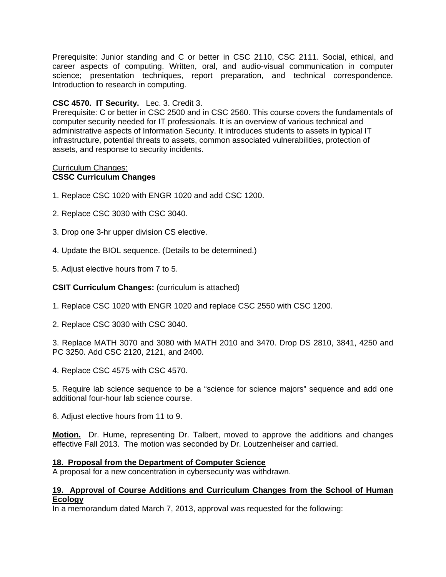Prerequisite: Junior standing and C or better in CSC 2110, CSC 2111. Social, ethical, and career aspects of computing. Written, oral, and audio-visual communication in computer science; presentation techniques, report preparation, and technical correspondence. Introduction to research in computing.

## **CSC 4570. IT Security.** Lec. 3. Credit 3.

Prerequisite: C or better in CSC 2500 and in CSC 2560. This course covers the fundamentals of computer security needed for IT professionals. It is an overview of various technical and administrative aspects of Information Security. It introduces students to assets in typical IT infrastructure, potential threats to assets, common associated vulnerabilities, protection of assets, and response to security incidents.

#### Curriculum Changes: **CSSC Curriculum Changes**

- 1. Replace CSC 1020 with ENGR 1020 and add CSC 1200.
- 2. Replace CSC 3030 with CSC 3040.
- 3. Drop one 3-hr upper division CS elective.
- 4. Update the BIOL sequence. (Details to be determined.)
- 5. Adjust elective hours from 7 to 5.

## **CSIT Curriculum Changes: (curriculum is attached)**

1. Replace CSC 1020 with ENGR 1020 and replace CSC 2550 with CSC 1200.

2. Replace CSC 3030 with CSC 3040.

3. Replace MATH 3070 and 3080 with MATH 2010 and 3470. Drop DS 2810, 3841, 4250 and PC 3250. Add CSC 2120, 2121, and 2400.

4. Replace CSC 4575 with CSC 4570.

5. Require lab science sequence to be a "science for science majors" sequence and add one additional four-hour lab science course.

6. Adjust elective hours from 11 to 9.

**Motion.** Dr. Hume, representing Dr. Talbert, moved to approve the additions and changes effective Fall 2013. The motion was seconded by Dr. Loutzenheiser and carried.

#### **18. Proposal from the Department of Computer Science**

A proposal for a new concentration in cybersecurity was withdrawn.

#### **19. Approval of Course Additions and Curriculum Changes from the School of Human Ecology**

In a memorandum dated March 7, 2013, approval was requested for the following: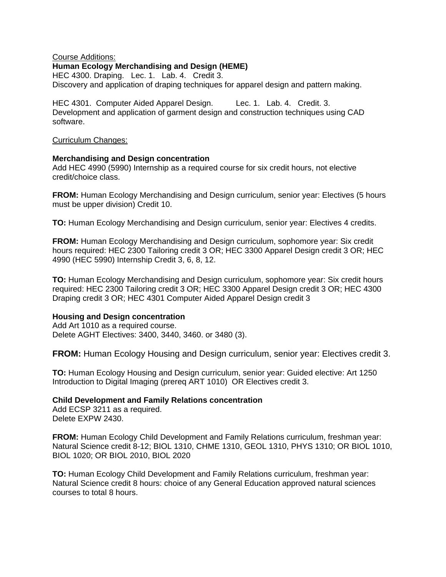#### Course Additions: **Human Ecology Merchandising and Design (HEME)**  HEC 4300. Draping. Lec. 1. Lab. 4. Credit 3. Discovery and application of draping techniques for apparel design and pattern making.

HEC 4301. Computer Aided Apparel Design. Lec. 1. Lab. 4. Credit. 3. Development and application of garment design and construction techniques using CAD software.

#### Curriculum Changes:

#### **Merchandising and Design concentration**

Add HEC 4990 (5990) Internship as a required course for six credit hours, not elective credit/choice class.

**FROM:** Human Ecology Merchandising and Design curriculum, senior year: Electives (5 hours must be upper division) Credit 10.

**TO:** Human Ecology Merchandising and Design curriculum, senior year: Electives 4 credits.

**FROM:** Human Ecology Merchandising and Design curriculum, sophomore year: Six credit hours required: HEC 2300 Tailoring credit 3 OR; HEC 3300 Apparel Design credit 3 OR; HEC 4990 (HEC 5990) Internship Credit 3, 6, 8, 12.

**TO:** Human Ecology Merchandising and Design curriculum, sophomore year: Six credit hours required: HEC 2300 Tailoring credit 3 OR; HEC 3300 Apparel Design credit 3 OR; HEC 4300 Draping credit 3 OR; HEC 4301 Computer Aided Apparel Design credit 3

#### **Housing and Design concentration**

Add Art 1010 as a required course. Delete AGHT Electives: 3400, 3440, 3460. or 3480 (3).

**FROM:** Human Ecology Housing and Design curriculum, senior year: Electives credit 3.

**TO:** Human Ecology Housing and Design curriculum, senior year: Guided elective: Art 1250 Introduction to Digital Imaging (prereq ART 1010) OR Electives credit 3.

## **Child Development and Family Relations concentration**

Add ECSP 3211 as a required. Delete EXPW 2430.

**FROM:** Human Ecology Child Development and Family Relations curriculum, freshman year: Natural Science credit 8-12; BIOL 1310, CHME 1310, GEOL 1310, PHYS 1310; OR BIOL 1010, BIOL 1020; OR BIOL 2010, BIOL 2020

**TO:** Human Ecology Child Development and Family Relations curriculum, freshman year: Natural Science credit 8 hours: choice of any General Education approved natural sciences courses to total 8 hours.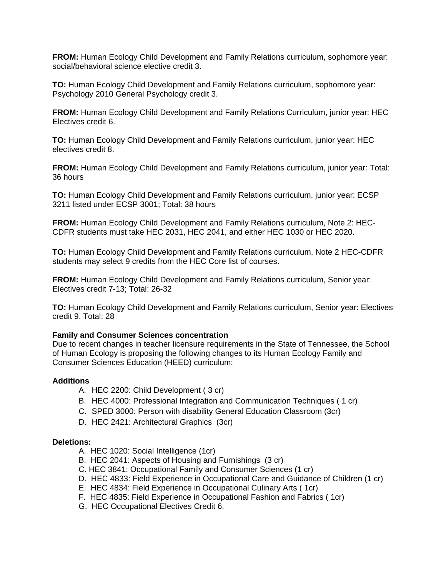**FROM:** Human Ecology Child Development and Family Relations curriculum, sophomore year: social/behavioral science elective credit 3.

**TO:** Human Ecology Child Development and Family Relations curriculum, sophomore year: Psychology 2010 General Psychology credit 3.

**FROM:** Human Ecology Child Development and Family Relations Curriculum, junior year: HEC Electives credit 6.

**TO:** Human Ecology Child Development and Family Relations curriculum, junior year: HEC electives credit 8.

**FROM:** Human Ecology Child Development and Family Relations curriculum, junior year: Total: 36 hours

**TO:** Human Ecology Child Development and Family Relations curriculum, junior year: ECSP 3211 listed under ECSP 3001; Total: 38 hours

**FROM:** Human Ecology Child Development and Family Relations curriculum, Note 2: HEC-CDFR students must take HEC 2031, HEC 2041, and either HEC 1030 or HEC 2020.

**TO:** Human Ecology Child Development and Family Relations curriculum, Note 2 HEC-CDFR students may select 9 credits from the HEC Core list of courses.

**FROM:** Human Ecology Child Development and Family Relations curriculum, Senior year: Electives credit 7-13; Total: 26-32

**TO:** Human Ecology Child Development and Family Relations curriculum, Senior year: Electives credit 9. Total: 28

#### **Family and Consumer Sciences concentration**

Due to recent changes in teacher licensure requirements in the State of Tennessee, the School of Human Ecology is proposing the following changes to its Human Ecology Family and Consumer Sciences Education (HEED) curriculum:

#### **Additions**

- A. HEC 2200: Child Development ( 3 cr)
- B. HEC 4000: Professional Integration and Communication Techniques ( 1 cr)
- C. SPED 3000: Person with disability General Education Classroom (3cr)
- D. HEC 2421: Architectural Graphics (3cr)

#### **Deletions:**

- A. HEC 1020: Social Intelligence (1cr)
- B. HEC 2041: Aspects of Housing and Furnishings (3 cr)
- C. HEC 3841: Occupational Family and Consumer Sciences (1 cr)
- D. HEC 4833: Field Experience in Occupational Care and Guidance of Children (1 cr)
- E. HEC 4834: Field Experience in Occupational Culinary Arts ( 1cr)
- F. HEC 4835: Field Experience in Occupational Fashion and Fabrics ( 1cr)
- G. HEC Occupational Electives Credit 6.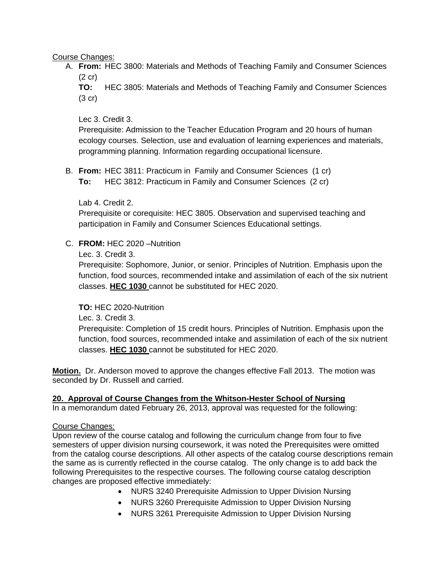Course Changes:

- A. **From:** HEC 3800: Materials and Methods of Teaching Family and Consumer Sciences (2 cr)
	- **TO:** HEC 3805: Materials and Methods of Teaching Family and Consumer Sciences (3 cr)

Lec 3. Credit 3.

Prerequisite: Admission to the Teacher Education Program and 20 hours of human ecology courses. Selection, use and evaluation of learning experiences and materials, programming planning. Information regarding occupational licensure.

B. **From:** HEC 3811: Practicum in Family and Consumer Sciences (1 cr) **To:** HEC 3812: Practicum in Family and Consumer Sciences (2 cr)

Lab 4. Credit 2.

Prerequisite or corequisite: HEC 3805. Observation and supervised teaching and participation in Family and Consumer Sciences Educational settings.

## C. **FROM:** HEC 2020 –Nutrition

Lec. 3. Credit 3.

Prerequisite: Sophomore, Junior, or senior. Principles of Nutrition. Emphasis upon the function, food sources, recommended intake and assimilation of each of the six nutrient classes. **HEC 1030** cannot be substituted for HEC 2020.

**TO:** HEC 2020-Nutrition

Lec. 3. Credit 3.

Prerequisite: Completion of 15 credit hours. Principles of Nutrition. Emphasis upon the function, food sources, recommended intake and assimilation of each of the six nutrient classes. **HEC 1030** cannot be substituted for HEC 2020.

**Motion.** Dr. Anderson moved to approve the changes effective Fall 2013. The motion was seconded by Dr. Russell and carried.

## **20. Approval of Course Changes from the Whitson-Hester School of Nursing**

In a memorandum dated February 26, 2013, approval was requested for the following:

#### Course Changes:

Upon review of the course catalog and following the curriculum change from four to five semesters of upper division nursing coursework, it was noted the Prerequisites were omitted from the catalog course descriptions. All other aspects of the catalog course descriptions remain the same as is currently reflected in the course catalog. The only change is to add back the following Prerequisites to the respective courses. The following course catalog description changes are proposed effective immediately:

- NURS 3240 Prerequisite Admission to Upper Division Nursing
- NURS 3260 Prerequisite Admission to Upper Division Nursing
- NURS 3261 Prerequisite Admission to Upper Division Nursing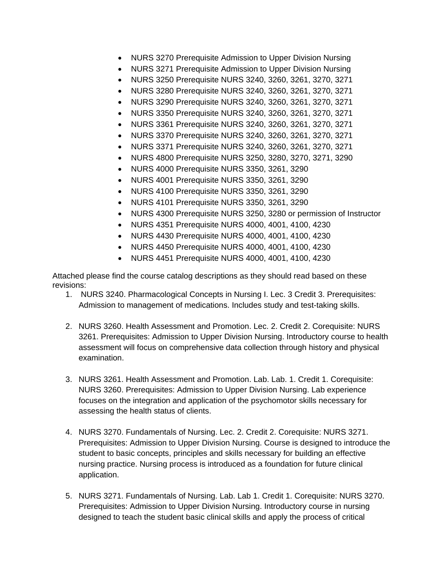- NURS 3270 Prerequisite Admission to Upper Division Nursing
- NURS 3271 Prerequisite Admission to Upper Division Nursing
- NURS 3250 Prerequisite NURS 3240, 3260, 3261, 3270, 3271
- NURS 3280 Prerequisite NURS 3240, 3260, 3261, 3270, 3271
- NURS 3290 Prerequisite NURS 3240, 3260, 3261, 3270, 3271
- NURS 3350 Prerequisite NURS 3240, 3260, 3261, 3270, 3271
- NURS 3361 Prerequisite NURS 3240, 3260, 3261, 3270, 3271
- NURS 3370 Prerequisite NURS 3240, 3260, 3261, 3270, 3271
- NURS 3371 Prerequisite NURS 3240, 3260, 3261, 3270, 3271
- NURS 4800 Prerequisite NURS 3250, 3280, 3270, 3271, 3290
- NURS 4000 Prerequisite NURS 3350, 3261, 3290
- NURS 4001 Prerequisite NURS 3350, 3261, 3290
- NURS 4100 Prerequisite NURS 3350, 3261, 3290
- NURS 4101 Prerequisite NURS 3350, 3261, 3290
- NURS 4300 Prerequisite NURS 3250, 3280 or permission of Instructor
- NURS 4351 Prerequisite NURS 4000, 4001, 4100, 4230
- NURS 4430 Prerequisite NURS 4000, 4001, 4100, 4230
- NURS 4450 Prerequisite NURS 4000, 4001, 4100, 4230
- NURS 4451 Prerequisite NURS 4000, 4001, 4100, 4230

Attached please find the course catalog descriptions as they should read based on these revisions:

- 1. NURS 3240. Pharmacological Concepts in Nursing I. Lec. 3 Credit 3. Prerequisites: Admission to management of medications. Includes study and test-taking skills.
- 2. NURS 3260. Health Assessment and Promotion. Lec. 2. Credit 2. Corequisite: NURS 3261. Prerequisites: Admission to Upper Division Nursing. Introductory course to health assessment will focus on comprehensive data collection through history and physical examination.
- 3. NURS 3261. Health Assessment and Promotion. Lab. Lab. 1. Credit 1. Corequisite: NURS 3260. Prerequisites: Admission to Upper Division Nursing. Lab experience focuses on the integration and application of the psychomotor skills necessary for assessing the health status of clients.
- 4. NURS 3270. Fundamentals of Nursing. Lec. 2. Credit 2. Corequisite: NURS 3271. Prerequisites: Admission to Upper Division Nursing. Course is designed to introduce the student to basic concepts, principles and skills necessary for building an effective nursing practice. Nursing process is introduced as a foundation for future clinical application.
- 5. NURS 3271. Fundamentals of Nursing. Lab. Lab 1. Credit 1. Corequisite: NURS 3270. Prerequisites: Admission to Upper Division Nursing. Introductory course in nursing designed to teach the student basic clinical skills and apply the process of critical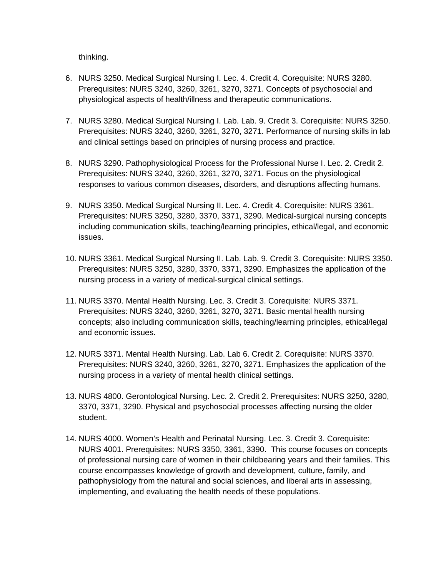thinking.

- 6. NURS 3250. Medical Surgical Nursing I. Lec. 4. Credit 4. Corequisite: NURS 3280. Prerequisites: NURS 3240, 3260, 3261, 3270, 3271. Concepts of psychosocial and physiological aspects of health/illness and therapeutic communications.
- 7. NURS 3280. Medical Surgical Nursing I. Lab. Lab. 9. Credit 3. Corequisite: NURS 3250. Prerequisites: NURS 3240, 3260, 3261, 3270, 3271. Performance of nursing skills in lab and clinical settings based on principles of nursing process and practice.
- 8. NURS 3290. Pathophysiological Process for the Professional Nurse I. Lec. 2. Credit 2. Prerequisites: NURS 3240, 3260, 3261, 3270, 3271. Focus on the physiological responses to various common diseases, disorders, and disruptions affecting humans.
- 9. NURS 3350. Medical Surgical Nursing II. Lec. 4. Credit 4. Corequisite: NURS 3361. Prerequisites: NURS 3250, 3280, 3370, 3371, 3290. Medical-surgical nursing concepts including communication skills, teaching/learning principles, ethical/legal, and economic issues.
- 10. NURS 3361. Medical Surgical Nursing II. Lab. Lab. 9. Credit 3. Corequisite: NURS 3350. Prerequisites: NURS 3250, 3280, 3370, 3371, 3290. Emphasizes the application of the nursing process in a variety of medical-surgical clinical settings.
- 11. NURS 3370. Mental Health Nursing. Lec. 3. Credit 3. Corequisite: NURS 3371. Prerequisites: NURS 3240, 3260, 3261, 3270, 3271. Basic mental health nursing concepts; also including communication skills, teaching/learning principles, ethical/legal and economic issues.
- 12. NURS 3371. Mental Health Nursing. Lab. Lab 6. Credit 2. Corequisite: NURS 3370. Prerequisites: NURS 3240, 3260, 3261, 3270, 3271. Emphasizes the application of the nursing process in a variety of mental health clinical settings.
- 13. NURS 4800. Gerontological Nursing. Lec. 2. Credit 2. Prerequisites: NURS 3250, 3280, 3370, 3371, 3290. Physical and psychosocial processes affecting nursing the older student.
- 14. NURS 4000. Women's Health and Perinatal Nursing. Lec. 3. Credit 3. Corequisite: NURS 4001. Prerequisites: NURS 3350, 3361, 3390. This course focuses on concepts of professional nursing care of women in their childbearing years and their families. This course encompasses knowledge of growth and development, culture, family, and pathophysiology from the natural and social sciences, and liberal arts in assessing, implementing, and evaluating the health needs of these populations.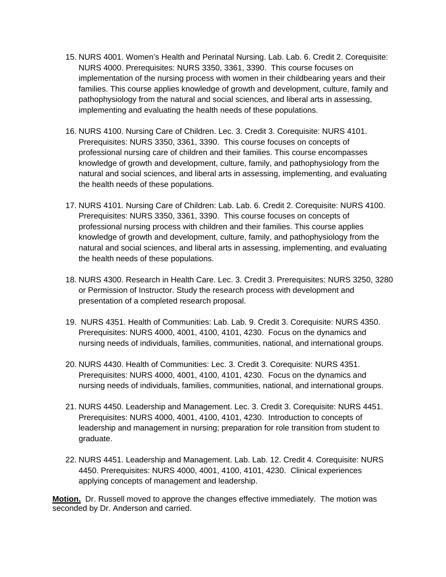- 15. NURS 4001. Women's Health and Perinatal Nursing. Lab. Lab. 6. Credit 2. Corequisite: NURS 4000. Prerequisites: NURS 3350, 3361, 3390. This course focuses on implementation of the nursing process with women in their childbearing years and their families. This course applies knowledge of growth and development, culture, family and pathophysiology from the natural and social sciences, and liberal arts in assessing, implementing and evaluating the health needs of these populations.
- 16. NURS 4100. Nursing Care of Children. Lec. 3. Credit 3. Corequisite: NURS 4101. Prerequisites: NURS 3350, 3361, 3390. This course focuses on concepts of professional nursing care of children and their families. This course encompasses knowledge of growth and development, culture, family, and pathophysiology from the natural and social sciences, and liberal arts in assessing, implementing, and evaluating the health needs of these populations.
- 17. NURS 4101. Nursing Care of Children: Lab. Lab. 6. Credit 2. Corequisite: NURS 4100. Prerequisites: NURS 3350, 3361, 3390. This course focuses on concepts of professional nursing process with children and their families. This course applies knowledge of growth and development, culture, family, and pathophysiology from the natural and social sciences, and liberal arts in assessing, implementing, and evaluating the health needs of these populations.
- 18. NURS 4300. Research in Health Care. Lec. 3. Credit 3. Prerequisites: NURS 3250, 3280 or Permission of Instructor. Study the research process with development and presentation of a completed research proposal.
- 19. NURS 4351. Health of Communities: Lab. Lab. 9. Credit 3. Corequisite: NURS 4350. Prerequisites: NURS 4000, 4001, 4100, 4101, 4230. Focus on the dynamics and nursing needs of individuals, families, communities, national, and international groups.
- 20. NURS 4430. Health of Communities: Lec. 3. Credit 3. Corequisite: NURS 4351. Prerequisites: NURS 4000, 4001, 4100, 4101, 4230. Focus on the dynamics and nursing needs of individuals, families, communities, national, and international groups.
- 21. NURS 4450. Leadership and Management. Lec. 3. Credit 3. Corequisite: NURS 4451. Prerequisites: NURS 4000, 4001, 4100, 4101, 4230. Introduction to concepts of leadership and management in nursing; preparation for role transition from student to graduate.
- 22. NURS 4451. Leadership and Management. Lab. Lab. 12. Credit 4. Corequisite: NURS 4450. Prerequisites: NURS 4000, 4001, 4100, 4101, 4230. Clinical experiences applying concepts of management and leadership.

**Motion.** Dr. Russell moved to approve the changes effective immediately. The motion was seconded by Dr. Anderson and carried.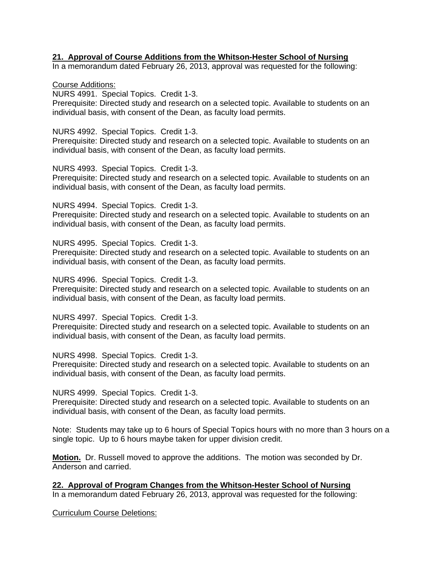### **21. Approval of Course Additions from the Whitson-Hester School of Nursing**

In a memorandum dated February 26, 2013, approval was requested for the following:

Course Additions:

NURS 4991. Special Topics. Credit 1-3.

Prerequisite: Directed study and research on a selected topic. Available to students on an individual basis, with consent of the Dean, as faculty load permits.

NURS 4992. Special Topics. Credit 1-3.

Prerequisite: Directed study and research on a selected topic. Available to students on an individual basis, with consent of the Dean, as faculty load permits.

NURS 4993. Special Topics. Credit 1-3.

Prerequisite: Directed study and research on a selected topic. Available to students on an individual basis, with consent of the Dean, as faculty load permits.

NURS 4994. Special Topics. Credit 1-3.

Prerequisite: Directed study and research on a selected topic. Available to students on an individual basis, with consent of the Dean, as faculty load permits.

NURS 4995. Special Topics. Credit 1-3.

Prerequisite: Directed study and research on a selected topic. Available to students on an individual basis, with consent of the Dean, as faculty load permits.

NURS 4996. Special Topics. Credit 1-3.

Prerequisite: Directed study and research on a selected topic. Available to students on an individual basis, with consent of the Dean, as faculty load permits.

NURS 4997. Special Topics. Credit 1-3.

Prerequisite: Directed study and research on a selected topic. Available to students on an individual basis, with consent of the Dean, as faculty load permits.

NURS 4998. Special Topics. Credit 1-3.

Prerequisite: Directed study and research on a selected topic. Available to students on an individual basis, with consent of the Dean, as faculty load permits.

NURS 4999. Special Topics. Credit 1-3.

Prerequisite: Directed study and research on a selected topic. Available to students on an individual basis, with consent of the Dean, as faculty load permits.

Note: Students may take up to 6 hours of Special Topics hours with no more than 3 hours on a single topic. Up to 6 hours maybe taken for upper division credit.

**Motion.** Dr. Russell moved to approve the additions. The motion was seconded by Dr. Anderson and carried.

**22. Approval of Program Changes from the Whitson-Hester School of Nursing** In a memorandum dated February 26, 2013, approval was requested for the following:

Curriculum Course Deletions: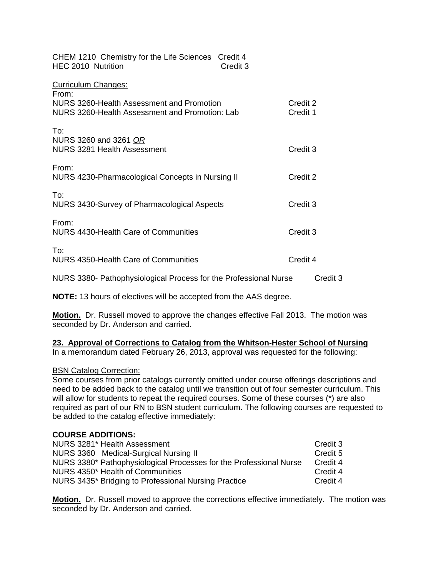| CHEM 1210 Chemistry for the Life Sciences Credit 4<br>HEC 2010 Nutrition<br>Credit 3                                        |                      |
|-----------------------------------------------------------------------------------------------------------------------------|----------------------|
| Curriculum Changes:<br>From:<br>NURS 3260-Health Assessment and Promotion<br>NURS 3260-Health Assessment and Promotion: Lab | Credit 2<br>Credit 1 |
| To:<br>NURS 3260 and 3261 OR<br>NURS 3281 Health Assessment                                                                 | Credit 3             |
| From:<br>NURS 4230-Pharmacological Concepts in Nursing II                                                                   | Credit 2             |
| To:<br>NURS 3430-Survey of Pharmacological Aspects                                                                          | Credit 3             |
| From:<br>NURS 4430-Health Care of Communities                                                                               | Credit 3             |
| To:<br>NURS 4350-Health Care of Communities                                                                                 | Credit 4             |

NURS 3380- Pathophysiological Process for the Professional Nurse Credit 3

**NOTE:** 13 hours of electives will be accepted from the AAS degree.

**Motion.** Dr. Russell moved to approve the changes effective Fall 2013. The motion was seconded by Dr. Anderson and carried.

# **23. Approval of Corrections to Catalog from the Whitson-Hester School of Nursing**

In a memorandum dated February 26, 2013, approval was requested for the following:

## BSN Catalog Correction:

Some courses from prior catalogs currently omitted under course offerings descriptions and need to be added back to the catalog until we transition out of four semester curriculum. This will allow for students to repeat the required courses. Some of these courses (\*) are also required as part of our RN to BSN student curriculum. The following courses are requested to be added to the catalog effective immediately:

## **COURSE ADDITIONS:**

| NURS 3281* Health Assessment                                       | Credit 3 |
|--------------------------------------------------------------------|----------|
| NURS 3360 Medical-Surgical Nursing II                              | Credit 5 |
| NURS 3380* Pathophysiological Processes for the Professional Nurse | Credit 4 |
| NURS 4350* Health of Communities                                   | Credit 4 |
| NURS 3435* Bridging to Professional Nursing Practice               | Credit 4 |

**Motion.** Dr. Russell moved to approve the corrections effective immediately. The motion was seconded by Dr. Anderson and carried.